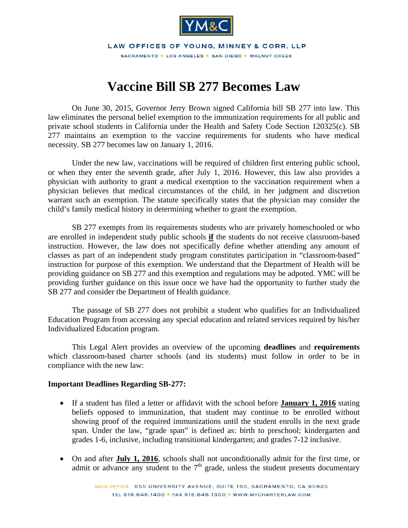

LAW OFFICES OF YOUNG, MINNEY & CORR, LLP SACRAMENTO · LOS ANGELES · SAN DIEGO · WALNUT CREEK

## **Vaccine Bill SB 277 Becomes Law**

On June 30, 2015, Governor Jerry Brown signed California bill SB 277 into law. This law eliminates the personal belief exemption to the immunization requirements for all public and private school students in California under the Health and Safety Code Section 120325(c). SB 277 maintains an exemption to the vaccine requirements for students who have medical necessity. SB 277 becomes law on January 1, 2016.

 Under the new law, vaccinations will be required of children first entering public school, or when they enter the seventh grade, after July 1, 2016. However, this law also provides a physician with authority to grant a medical exemption to the vaccination requirement when a physician believes that medical circumstances of the child, in her judgment and discretion warrant such an exemption. The statute specifically states that the physician may consider the child's family medical history in determining whether to grant the exemption.

SB 277 exempts from its requirements students who are privately homeschooled or who are enrolled in independent study public schools **if** the students do not receive classroom-based instruction. However, the law does not specifically define whether attending any amount of classes as part of an independent study program constitutes participation in "classroom-based" instruction for purpose of this exemption. We understand that the Department of Health will be providing guidance on SB 277 and this exemption and regulations may be adpoted. YMC will be providing further guidance on this issue once we have had the opportunity to further study the SB 277 and consider the Department of Health guidance.

The passage of SB 277 does not prohibit a student who qualifies for an Individualized Education Program from accessing any special education and related services required by his/her Individualized Education program.

This Legal Alert provides an overview of the upcoming **deadlines** and **requirements** which classroom-based charter schools (and its students) must follow in order to be in compliance with the new law:

## **Important Deadlines Regarding SB-277:**

- If a student has filed a letter or affidavit with the school before **January 1, 2016** stating beliefs opposed to immunization, that student may continue to be enrolled without showing proof of the required immunizations until the student enrolls in the next grade span. Under the law, "grade span" is defined as: birth to preschool; kindergarten and grades 1-6, inclusive, including transitional kindergarten; and grades 7-12 inclusive.
- On and after **July 1, 2016**, schools shall not unconditionally admit for the first time, or admit or advance any student to the  $7<sup>th</sup>$  grade, unless the student presents documentary